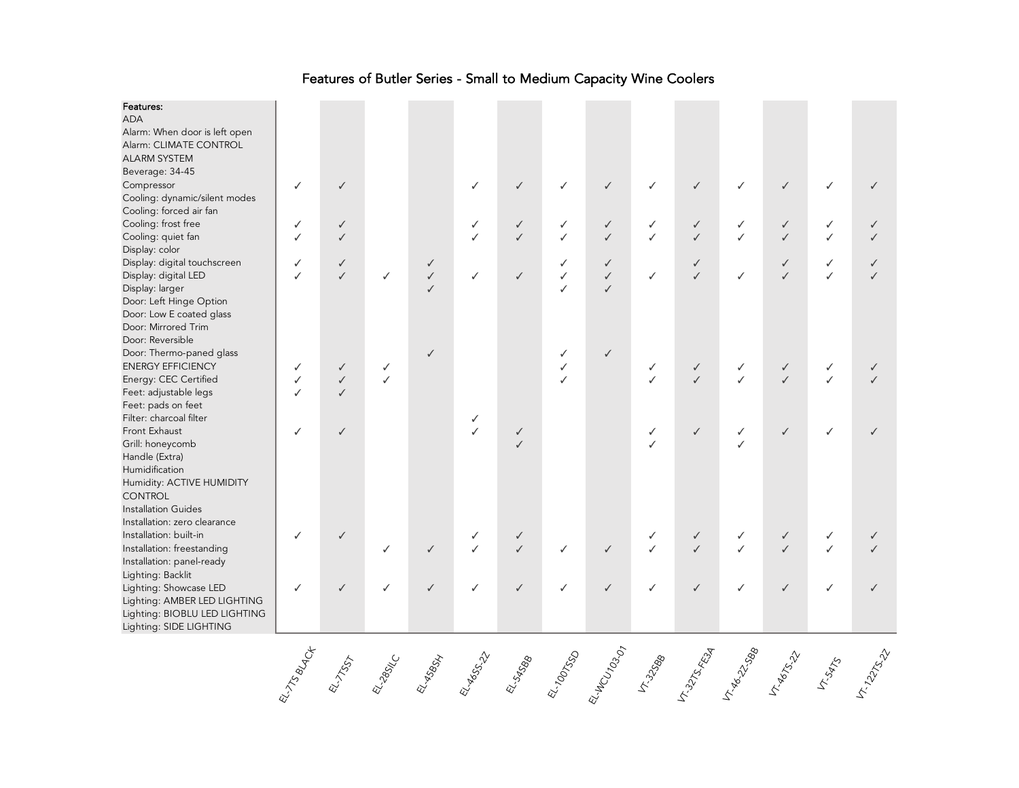|  |  |  | Features of Butler Series - Small to Medium Capacity Wine Coolers |
|--|--|--|-------------------------------------------------------------------|
|  |  |  |                                                                   |

| Features:                                               |              |              |              |              |   |              |   |              |              |              |              |              |              |              |
|---------------------------------------------------------|--------------|--------------|--------------|--------------|---|--------------|---|--------------|--------------|--------------|--------------|--------------|--------------|--------------|
| <b>ADA</b>                                              |              |              |              |              |   |              |   |              |              |              |              |              |              |              |
| Alarm: When door is left open<br>Alarm: CLIMATE CONTROL |              |              |              |              |   |              |   |              |              |              |              |              |              |              |
| <b>ALARM SYSTEM</b>                                     |              |              |              |              |   |              |   |              |              |              |              |              |              |              |
| Beverage: 34-45                                         |              |              |              |              |   |              |   |              |              |              |              |              |              |              |
| Compressor                                              | $\checkmark$ | $\checkmark$ |              |              | ✓ | $\checkmark$ |   | ✓            | ✓            | ✓            | ✓            | $\checkmark$ | ✓            |              |
| Cooling: dynamic/silent modes                           |              |              |              |              |   |              |   |              |              |              |              |              |              |              |
| Cooling: forced air fan                                 |              |              |              |              |   |              |   |              |              |              |              |              |              |              |
| Cooling: frost free                                     | ✓            | $\checkmark$ |              |              | ✓ | ✓            | ✓ | ✓            | ✓            | ✓            | ✓            | $\checkmark$ | ✓            | ✓            |
| Cooling: quiet fan                                      | ✓            | $\checkmark$ |              |              | ✓ | $\checkmark$ | ✓ | $\checkmark$ | $\checkmark$ | $\checkmark$ | ✓            | $\checkmark$ | $\checkmark$ |              |
| Display: color                                          |              |              |              |              |   |              |   |              |              |              |              |              |              |              |
| Display: digital touchscreen                            | ✓            | $\checkmark$ |              | ✓            |   |              | ✓ | ✓            |              | ✓            |              | $\checkmark$ | ✓            | ✓            |
| Display: digital LED                                    | ✓            | $\checkmark$ | $\checkmark$ | $\checkmark$ | ✓ | $\checkmark$ | ✓ | ✓            | ✓            | $\checkmark$ | $\checkmark$ | $\checkmark$ | $\checkmark$ |              |
| Display: larger                                         |              |              |              | $\checkmark$ |   |              | ✓ | $\checkmark$ |              |              |              |              |              |              |
| Door: Left Hinge Option                                 |              |              |              |              |   |              |   |              |              |              |              |              |              |              |
| Door: Low E coated glass                                |              |              |              |              |   |              |   |              |              |              |              |              |              |              |
| Door: Mirrored Trim                                     |              |              |              |              |   |              |   |              |              |              |              |              |              |              |
| Door: Reversible                                        |              |              |              |              |   |              |   |              |              |              |              |              |              |              |
| Door: Thermo-paned glass                                |              |              |              | ✓            |   |              |   | $\checkmark$ |              |              |              |              |              |              |
| <b>ENERGY EFFICIENCY</b>                                | ✓            | ✓            | ✓            |              |   |              |   |              | ✓            | ✓            | ✓            | $\checkmark$ | ✓            |              |
| Energy: CEC Certified                                   | ✓            | $\checkmark$ | $\checkmark$ |              |   |              |   |              | $\checkmark$ | $\checkmark$ | ✓            | $\checkmark$ | $\checkmark$ |              |
| Feet: adjustable legs                                   | ✓            | $\checkmark$ |              |              |   |              |   |              |              |              |              |              |              |              |
| Feet: pads on feet                                      |              |              |              |              |   |              |   |              |              |              |              |              |              |              |
| Filter: charcoal filter                                 |              |              |              |              | √ |              |   |              |              |              |              |              |              |              |
| Front Exhaust                                           | $\checkmark$ | $\checkmark$ |              |              | ✓ | ✓            |   |              | ✓            | $\checkmark$ | ✓            | $\checkmark$ | $\checkmark$ |              |
| Grill: honeycomb                                        |              |              |              |              |   | J            |   |              | ✓            |              | $\checkmark$ |              |              |              |
| Handle (Extra)<br>Humidification                        |              |              |              |              |   |              |   |              |              |              |              |              |              |              |
| Humidity: ACTIVE HUMIDITY                               |              |              |              |              |   |              |   |              |              |              |              |              |              |              |
| <b>CONTROL</b>                                          |              |              |              |              |   |              |   |              |              |              |              |              |              |              |
| <b>Installation Guides</b>                              |              |              |              |              |   |              |   |              |              |              |              |              |              |              |
| Installation: zero clearance                            |              |              |              |              |   |              |   |              |              |              |              |              |              |              |
| Installation: built-in                                  | ✓            | $\checkmark$ |              |              | ✓ | $\checkmark$ |   |              | ✓            | $\checkmark$ | ✓            | $\checkmark$ | ✓            | $\checkmark$ |
| Installation: freestanding                              |              |              | ✓            | $\checkmark$ | ✓ | $\checkmark$ | ✓ | ✓            | $\checkmark$ | $\checkmark$ | ✓            | $\checkmark$ | $\checkmark$ |              |
| Installation: panel-ready                               |              |              |              |              |   |              |   |              |              |              |              |              |              |              |
| Lighting: Backlit                                       |              |              |              |              |   |              |   |              |              |              |              |              |              |              |
| Lighting: Showcase LED                                  | ✓            | ✓            | ✓            | $\checkmark$ | ✓ | $\checkmark$ | ✓ | ✓            | ✓            | ✓            | ✓            | $\checkmark$ | ✓            |              |
| Lighting: AMBER LED LIGHTING                            |              |              |              |              |   |              |   |              |              |              |              |              |              |              |
| Lighting: BIOBLU LED LIGHTING                           |              |              |              |              |   |              |   |              |              |              |              |              |              |              |
| Lighting: SIDE LIGHTING                                 |              |              |              |              |   |              |   |              |              |              |              |              |              |              |

EL-7TS BAGGE **EL-7TSST** EL-28SILC EL-45<sub>85H</sub> EL-46SS-2 EL-S45<sub>090</sub> EL-100TSSD  $\frac{k_1^4}{k_1^6}$ V<sub>T-32SBB</sub> V<sub>T-32TS-</sub>FESA VT-46-22<sub>SBB</sub> LT-1870-22-2 VT-SAMS VT-122TS-2Z